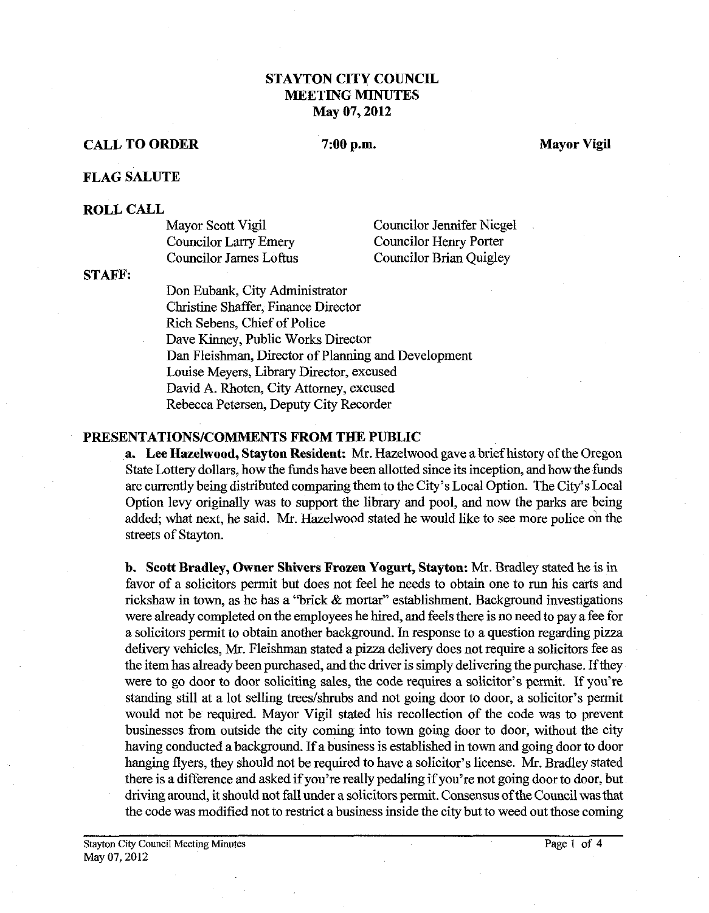# **STAYTON CITY COUNCIL MEETING MINUTES May 07,2012**

## **CALL TO ORDER**

## 7:00 p.m.

**Mayor Vigil** 

## **FLAG SALUTE**

### **ROLL CALL**

| Mayor Scott Vigil             | <b>Councilor Jennifer Niegel</b> |
|-------------------------------|----------------------------------|
| Councilor Larry Emery         | Councilor Henry Porter           |
| <b>Councilor James Loftus</b> | <b>Councilor Brian Quigley</b>   |

**STAFF:** 

Don Eubank, City Administrator Christine Shaffer, Finance Director Rich Sebens, Chief of Police Dave Kinney, Public Works Director Dan Fleishman, Director of Planning and Development Louise Meyers, Library Director, excused David A. Rhoten, City Attorney, excused Rebecca Petersen, Deputy City Recorder

### **PRESENTATIONSICOMMENTS FROM THE PUBLIC**

**a. Lee Hazelwood, Stayton Resident:** Mr. Hazelwood gave abrief history of the Oregon State Lottery dollars, how the funds have been allotted since its inception, and how the funds are currently being distributed comparing them to the City's Local Option. The City's Local Option levy originally was to support the library and pool, and now the parks are being added; what next, he said. Mr. Hazelwood stated he would like to see more police on the streets of Stayton.

**b. Scott Bradley, Owner Shivers Frozen Yogurt, Stayton: Mr.** Bradley stated he is in favor of a solicitors permit but does not feel he needs to obtain one to run his carts and rickshaw in town, as he has a "brick & mortar'' establishment. Background investigations were already completed on the employees he hired, and feels there is no need to pay a fee for a solicitors pennit to obtain another background. In response to a question regarding pizza delivery vehicles, Mr. Fleishman stated a pizza delivery does not require a solicitors fee as the item has already been purchased, and the driver is simply delivering the purchase. If they were to go door to door soliciting sales, the code requires a solicitor's permit. If you're standing still at a lot selling trees/shrubs and not going door to door, a solicitor's permit would not be required. Mayor Vigil stated his recollection of the code was to prevent businesses from outside the city coming into town going door to door, without the city having conducted a background. If a business is established in town and going door to door hanging flyers, they should not be required to have a solicitor's license. Mr. Bradley stated there is a difference and asked if you're really pedaling if you're not going door to door, but driving around, it should not fall under a solicitors permit. Consensus of the Council was that the code was modified not to restrict a business inside the city but to weed out those coming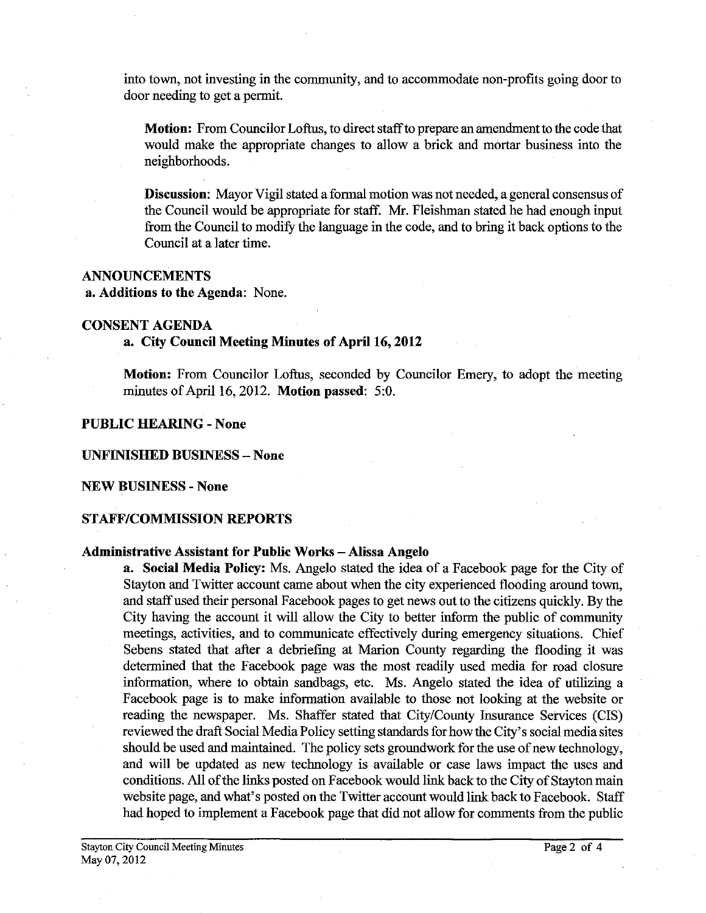into town, not investing in the community, and to accommodate non-profits going door to door needing to get a permit.

**Motion:** From Councilor Loftus, to direct staff to prepare an amendment to the code that would make the appropriate changes to allow a brick and mortar business into the neighborhoods.

**Discussion:** Mayor Vigil stated a formal motion was not needed, a general consensus of the Council would be appropriate for staff. Mr. Fleishman stated he had enough input from the Council to modify the language in the code, and to bring it back options to the Council at a later time.

### **ANNOUNCEMENTS**

**a. Additions to the Agenda:** None.

## **CONSENT AGENDA**

### **a. City Council Meeting Minutes of April 16,2012**

**Motion:** From Councilor Loftus, seconded by Councilor Emery, to adopt the meeting minutes of April **16,2012. Motion passed: 5:O.** 

## **PUBLIC HEARING** - **None**

#### **UNFINISHED BUSINESS** - **None**

#### **NEW BUSINESS** - **None**

## **STAFF/COMMISSION REPORTS**

#### **Administrative Assistant for Public Works** - **Alissa Angelo**

**a. Social Media Policy:** Ms. Angelo stated the idea of a Facebook page for the City of Stayton and Twitter account came about when the city experienced flooding around town, and staff used their personal Facebook pages to get news out to the citizens quickly. By the City having the account it will allow the City to better inform the public of community meetings, activities, and to communicate effectively during emergency situations. Chief Sebens stated that after a debriefing at Marion County regarding the flooding it was determined that the Facebook page was the most readily used media for road closure information, where to obtain sandbags, etc. Ms. Angelo stated the idea of utilizing a Facebook page is to make information available to those not looking at the website or reading the newspaper. Ms. Shaffer stated that CitylCounty Insurance Services (CIS) reviewed the draft Social Media Policy setting standards for how the City's social media sites should be used and maintained. The policy sets groundwork for the use of new technology, and will be updated as new technology is available or case laws impact the uses and conditions. All of the links posted on Facebook would link back to the City of Stayton main website page, and what's posted on the Twitter account would link back to Facebook. Staff had hoped to implement a Facebook page that did not allow for comments fiom the public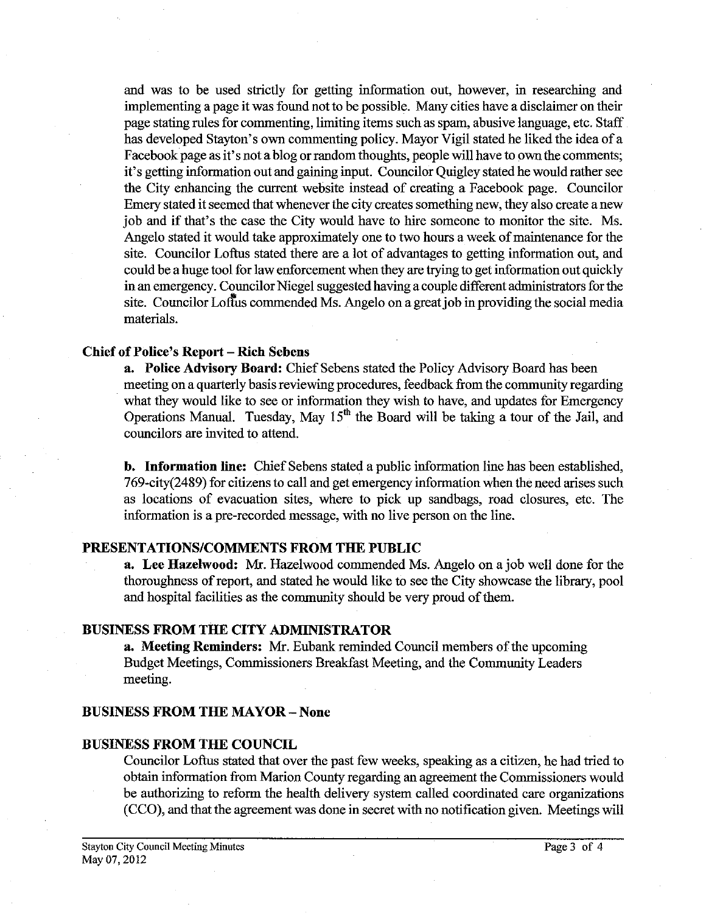and was to be used strictly for getting information out, however, in researching and implementing a page it was found not to be possible. Many cities have a disclaimer on their page stating rules for commenting, limiting items such as spam, abusive language, etc. Staff has developed Stayton's own commenting policy. Mayor Vigil stated he liked the idea of a Facebook page as it's not a blog or random thoughts, people will have to own the comments; it's getting information out and gaining input. Councilor Quigley stated he would rather see the City enhancing the current website instead of creating a Facebook page. Councilor Emery stated it seemed that whenever the city creates something new, they also create a new job and if that's the case the City would have to hire someone to monitor the site. Ms. Angelo stated it would take approximately one to two hours a week of maintenance for the site. Councilor Loftus stated there are a lot of advantages to getting information out, and could be a huge tool for law enforcement when they are trying to get information out quickly in an emergency. Councilor Niegel suggested having a couple different administrators for the site. Councilor Loftus commended Ms. Angelo on a great job in providing the social media materials.

### **Chief of Police's Report** - **Rich Sebens**

**a. Police Advisory Board:** Chief Sebens stated the Policy Advisory Board has been meeting on a quarterly basis reviewing procedures, feedback fiom the community regarding what they would like to see or information they wish to have, and updates for Emergency Operations Manual. Tuesday, May 15" the Board will be taking a tour of the Jail, and councilors are invited to attend.

**b. Information line:** Chief Sebens stated a public information line has been established, 769-city(2489) for citizens to call and get emergency information when the need arises such as locations of evacuation sites, where to pick up sandbags, road closures, etc. The information is a pre-recorded message, with no live person on the line.

## **PRESENTATIONSICOMMENTS FROM THE PUBLIC**

**a. Lee Hazelwood: Mr.** Hazelwood commended Ms. Angelo on a job well done for the thoroughness of report, and stated he would like to see the City showcase the library, pool and hospital facilities as the community should be very proud of them.

## **BUSINESS FROM THE CITY ADMINISTRATOR**

**a. Meeting Reminders:** Mr. Eubank reminded Council members of the upcoming Budget Meetings, Commissioners Breakfast Meeting, and the Community Leaders meeting.

## **BUSINESS FROM THE MAYOR** - **None**

## **BUSINESS FROM THE COUNCIL**

Councilor Loftus stated that over the past few weeks, speaking as a citizen, he had tried to obtain information fiom Marion County regarding an agreement the Commissioners would be authorizing to reform the health delivery system called coordinated care organizations (CCO), and that the agreement was done in secret with no notification given. Meetings will